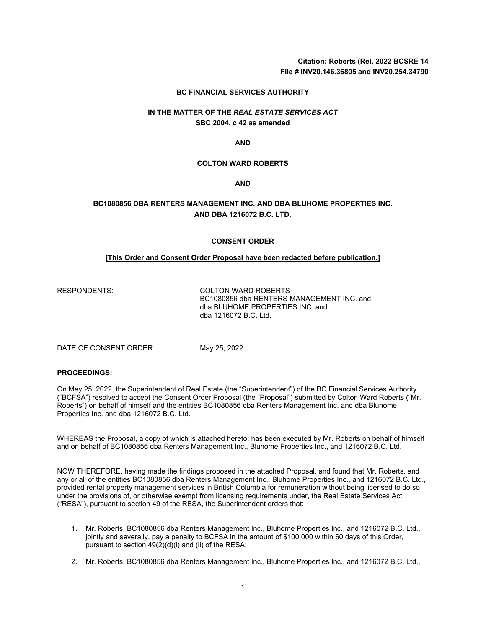**Citation: Roberts (Re), 2022 BCSRE 14 File # INV20.146.36805 and INV20.254.34790**

### **BC FINANCIAL SERVICES AUTHORITY**

## **IN THE MATTER OF THE** *REAL ESTATE SERVICES ACT* **SBC 2004, c 42 as amended**

**AND**

### **COLTON WARD ROBERTS**

**AND**

## **BC1080856 DBA RENTERS MANAGEMENT INC. AND DBA BLUHOME PROPERTIES INC. AND DBA 1216072 B.C. LTD.**

### **CONSENT ORDER**

## **[This Order and Consent Order Proposal have been redacted before publication.]**

RESPONDENTS: COLTON WARD ROBERTS BC1080856 dba RENTERS MANAGEMENT INC. and dba BLUHOME PROPERTIES INC. and dba 1216072 B.C. Ltd.

DATE OF CONSENT ORDER: May 25, 2022

### **PROCEEDINGS:**

On May 25, 2022, the Superintendent of Real Estate (the "Superintendent") of the BC Financial Services Authority ("BCFSA") resolved to accept the Consent Order Proposal (the "Proposal") submitted by Colton Ward Roberts ("Mr. Roberts") on behalf of himself and the entities BC1080856 dba Renters Management Inc. and dba Bluhome Properties Inc. and dba 1216072 B.C. Ltd.

WHEREAS the Proposal, a copy of which is attached hereto, has been executed by Mr. Roberts on behalf of himself and on behalf of BC1080856 dba Renters Management Inc., Bluhome Properties Inc., and 1216072 B.C. Ltd.

NOW THEREFORE, having made the findings proposed in the attached Proposal, and found that Mr. Roberts, and any or all of the entities BC1080856 dba Renters Management Inc., Bluhome Properties Inc., and 1216072 B.C. Ltd., provided rental property management services in British Columbia for remuneration without being licensed to do so under the provisions of, or otherwise exempt from licensing requirements under, the Real Estate Services Act ("RESA"), pursuant to section 49 of the RESA, the Superintendent orders that:

- 1. Mr. Roberts, BC1080856 dba Renters Management Inc., Bluhome Properties Inc., and 1216072 B.C. Ltd., jointly and severally, pay a penalty to BCFSA in the amount of \$100,000 within 60 days of this Order, pursuant to section  $49(2)(d)(i)$  and (ii) of the RESA;
- 2. Mr. Roberts, BC1080856 dba Renters Management Inc., Bluhome Properties Inc., and 1216072 B.C. Ltd.,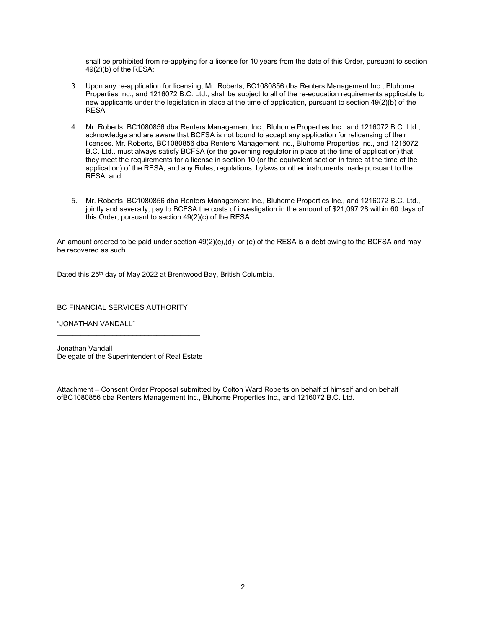shall be prohibited from re-applying for a license for 10 years from the date of this Order, pursuant to section 49(2)(b) of the RESA;

- 3. Upon any re-application for licensing, Mr. Roberts, BC1080856 dba Renters Management Inc., Bluhome Properties Inc., and 1216072 B.C. Ltd., shall be subject to all of the re-education requirements applicable to new applicants under the legislation in place at the time of application, pursuant to section 49(2)(b) of the RESA.
- 4. Mr. Roberts, BC1080856 dba Renters Management Inc., Bluhome Properties Inc., and 1216072 B.C. Ltd., acknowledge and are aware that BCFSA is not bound to accept any application for relicensing of their licenses. Mr. Roberts, BC1080856 dba Renters Management Inc., Bluhome Properties Inc., and 1216072 B.C. Ltd., must always satisfy BCFSA (or the governing regulator in place at the time of application) that they meet the requirements for a license in section 10 (or the equivalent section in force at the time of the application) of the RESA, and any Rules, regulations, bylaws or other instruments made pursuant to the RESA; and
- 5. Mr. Roberts, BC1080856 dba Renters Management Inc., Bluhome Properties Inc., and 1216072 B.C. Ltd., jointly and severally, pay to BCFSA the costs of investigation in the amount of \$21,097.28 within 60 days of this Order, pursuant to section 49(2)(c) of the RESA.

An amount ordered to be paid under section 49(2)(c),(d), or (e) of the RESA is a debt owing to the BCFSA and may be recovered as such.

Dated this 25<sup>th</sup> day of May 2022 at Brentwood Bay, British Columbia.

BC FINANCIAL SERVICES AUTHORITY

"JONATHAN VANDALL"

Jonathan Vandall Delegate of the Superintendent of Real Estate

\_\_\_\_\_\_\_\_\_\_\_\_\_\_\_\_\_\_\_\_\_\_\_\_\_\_\_\_\_\_\_\_\_\_\_\_

Attachment – Consent Order Proposal submitted by Colton Ward Roberts on behalf of himself and on behalf ofBC1080856 dba Renters Management Inc., Bluhome Properties Inc., and 1216072 B.C. Ltd.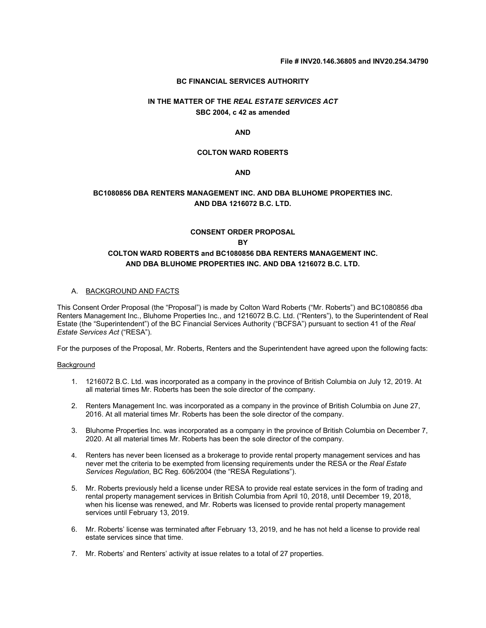### **BC FINANCIAL SERVICES AUTHORITY**

# **IN THE MATTER OF THE** *REAL ESTATE SERVICES ACT* **SBC 2004, c 42 as amended**

### **AND**

## **COLTON WARD ROBERTS**

## **AND**

## **BC1080856 DBA RENTERS MANAGEMENT INC. AND DBA BLUHOME PROPERTIES INC. AND DBA 1216072 B.C. LTD.**

## **CONSENT ORDER PROPOSAL BY COLTON WARD ROBERTS and BC1080856 DBA RENTERS MANAGEMENT INC. AND DBA BLUHOME PROPERTIES INC. AND DBA 1216072 B.C. LTD.**

## A. BACKGROUND AND FACTS

This Consent Order Proposal (the "Proposal") is made by Colton Ward Roberts ("Mr. Roberts") and BC1080856 dba Renters Management Inc., Bluhome Properties Inc., and 1216072 B.C. Ltd. ("Renters"), to the Superintendent of Real Estate (the "Superintendent") of the BC Financial Services Authority ("BCFSA") pursuant to section 41 of the *Real Estate Services Act* ("RESA").

For the purposes of the Proposal, Mr. Roberts, Renters and the Superintendent have agreed upon the following facts:

#### Background

- 1. 1216072 B.C. Ltd. was incorporated as a company in the province of British Columbia on July 12, 2019. At all material times Mr. Roberts has been the sole director of the company.
- 2. Renters Management Inc. was incorporated as a company in the province of British Columbia on June 27, 2016. At all material times Mr. Roberts has been the sole director of the company.
- 3. Bluhome Properties Inc. was incorporated as a company in the province of British Columbia on December 7, 2020. At all material times Mr. Roberts has been the sole director of the company.
- 4. Renters has never been licensed as a brokerage to provide rental property management services and has never met the criteria to be exempted from licensing requirements under the RESA or the *Real Estate Services Regulation*, BC Reg. 606/2004 (the "RESA Regulations").
- 5. Mr. Roberts previously held a license under RESA to provide real estate services in the form of trading and rental property management services in British Columbia from April 10, 2018, until December 19, 2018, when his license was renewed, and Mr. Roberts was licensed to provide rental property management services until February 13, 2019.
- 6. Mr. Roberts' license was terminated after February 13, 2019, and he has not held a license to provide real estate services since that time.
- 7. Mr. Roberts' and Renters' activity at issue relates to a total of 27 properties.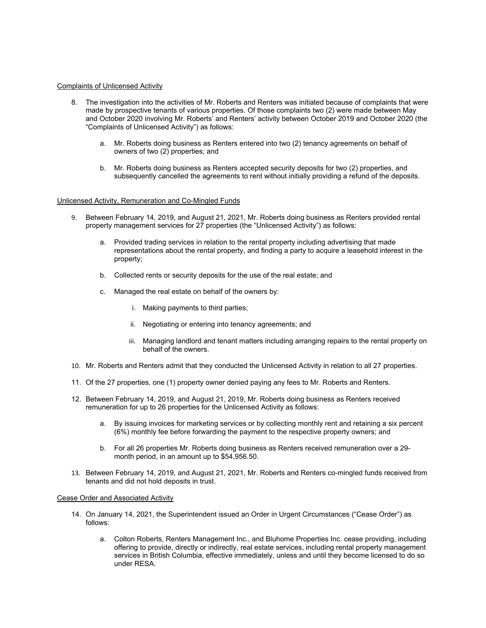### Complaints of Unlicensed Activity

- 8. The investigation into the activities of Mr. Roberts and Renters was initiated because of complaints that were made by prospective tenants of various properties. Of those complaints two (2) were made between May and October 2020 involving Mr. Roberts' and Renters' activity between October 2019 and October 2020 (the "Complaints of Unlicensed Activity") as follows:
	- a. Mr. Roberts doing business as Renters entered into two (2) tenancy agreements on behalf of owners of two (2) properties; and
	- b. Mr. Roberts doing business as Renters accepted security deposits for two (2) properties, and subsequently cancelled the agreements to rent without initially providing a refund of the deposits.

### Unlicensed Activity, Remuneration and Co-Mingled Funds

- 9. Between February 14, 2019, and August 21, 2021, Mr. Roberts doing business as Renters provided rental property management services for 27 properties (the "Unlicensed Activity") as follows:
	- a. Provided trading services in relation to the rental property including advertising that made representations about the rental property, and finding a party to acquire a leasehold interest in the property;
	- b. Collected rents or security deposits for the use of the real estate; and
	- c. Managed the real estate on behalf of the owners by:
		- i. Making payments to third parties;
		- ii. Negotiating or entering into tenancy agreements; and
		- iii. Managing landlord and tenant matters including arranging repairs to the rental property on behalf of the owners.
- 10. Mr. Roberts and Renters admit that they conducted the Unlicensed Activity in relation to all 27 properties.
- 11. Of the 27 properties, one (1) property owner denied paying any fees to Mr. Roberts and Renters.
- 12. Between February 14, 2019, and August 21, 2019, Mr. Roberts doing business as Renters received remuneration for up to 26 properties for the Unlicensed Activity as follows:
	- a. By issuing invoices for marketing services or by collecting monthly rent and retaining a six percent (6%) monthly fee before forwarding the payment to the respective property owners; and
	- b. For all 26 properties Mr. Roberts doing business as Renters received remuneration over a 29 month period, in an amount up to \$54,956.50.
- 13. Between February 14, 2019, and August 21, 2021, Mr. Roberts and Renters co-mingled funds received from tenants and did not hold deposits in trust.

#### Cease Order and Associated Activity

- 14. On January 14, 2021, the Superintendent issued an Order in Urgent Circumstances ("Cease Order") as follows:
	- a. Colton Roberts, Renters Management Inc., and Bluhome Properties Inc. cease providing, including offering to provide, directly or indirectly, real estate services, including rental property management services in British Columbia, effective immediately, unless and until they become licensed to do so under RESA.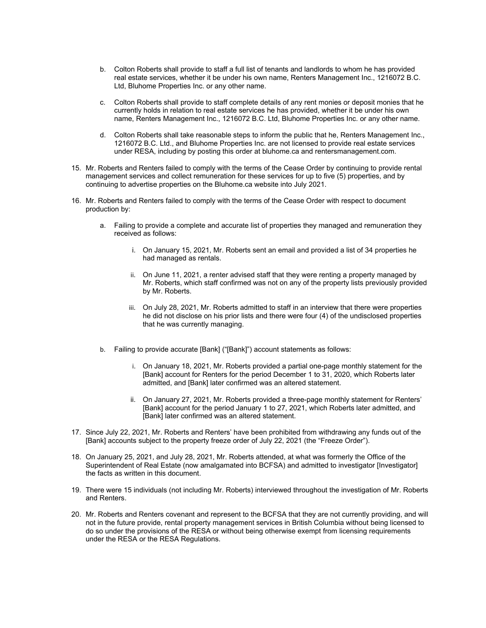- b. Colton Roberts shall provide to staff a full list of tenants and landlords to whom he has provided real estate services, whether it be under his own name, Renters Management Inc., 1216072 B.C. Ltd, Bluhome Properties Inc. or any other name.
- c. Colton Roberts shall provide to staff complete details of any rent monies or deposit monies that he currently holds in relation to real estate services he has provided, whether it be under his own name, Renters Management Inc., 1216072 B.C. Ltd, Bluhome Properties Inc. or any other name.
- d. Colton Roberts shall take reasonable steps to inform the public that he, Renters Management Inc., 1216072 B.C. Ltd., and Bluhome Properties Inc. are not licensed to provide real estate services under RESA, including by posting this order at bluhome.ca and rentersmanagement.com.
- 15. Mr. Roberts and Renters failed to comply with the terms of the Cease Order by continuing to provide rental management services and collect remuneration for these services for up to five (5) properties, and by continuing to advertise properties on the Bluhome.ca website into July 2021.
- 16. Mr. Roberts and Renters failed to comply with the terms of the Cease Order with respect to document production by:
	- a. Failing to provide a complete and accurate list of properties they managed and remuneration they received as follows:
		- i. On January 15, 2021, Mr. Roberts sent an email and provided a list of 34 properties he had managed as rentals.
		- ii. On June 11, 2021, a renter advised staff that they were renting a property managed by Mr. Roberts, which staff confirmed was not on any of the property lists previously provided by Mr. Roberts.
		- iii. On July 28, 2021, Mr. Roberts admitted to staff in an interview that there were properties he did not disclose on his prior lists and there were four (4) of the undisclosed properties that he was currently managing.
	- b. Failing to provide accurate [Bank] ("[Bank]") account statements as follows:
		- i. On January 18, 2021, Mr. Roberts provided a partial one-page monthly statement for the [Bank] account for Renters for the period December 1 to 31, 2020, which Roberts later admitted, and [Bank] later confirmed was an altered statement.
		- ii. On January 27, 2021, Mr. Roberts provided a three-page monthly statement for Renters' [Bank] account for the period January 1 to 27, 2021, which Roberts later admitted, and [Bank] later confirmed was an altered statement.
- 17. Since July 22, 2021, Mr. Roberts and Renters' have been prohibited from withdrawing any funds out of the [Bank] accounts subject to the property freeze order of July 22, 2021 (the "Freeze Order").
- 18. On January 25, 2021, and July 28, 2021, Mr. Roberts attended, at what was formerly the Office of the Superintendent of Real Estate (now amalgamated into BCFSA) and admitted to investigator [Investigator] the facts as written in this document.
- 19. There were 15 individuals (not including Mr. Roberts) interviewed throughout the investigation of Mr. Roberts and Renters.
- 20. Mr. Roberts and Renters covenant and represent to the BCFSA that they are not currently providing, and will not in the future provide, rental property management services in British Columbia without being licensed to do so under the provisions of the RESA or without being otherwise exempt from licensing requirements under the RESA or the RESA Regulations.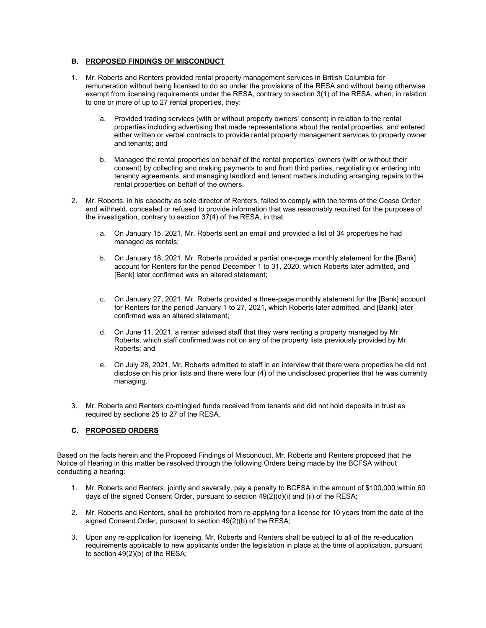## **B. PROPOSED FINDINGS OF MISCONDUCT**

- 1. Mr. Roberts and Renters provided rental property management services in British Columbia for remuneration without being licensed to do so under the provisions of the RESA and without being otherwise exempt from licensing requirements under the RESA, contrary to section 3(1) of the RESA, when, in relation to one or more of up to 27 rental properties, they:
	- a. Provided trading services (with or without property owners' consent) in relation to the rental properties including advertising that made representations about the rental properties, and entered either written or verbal contracts to provide rental property management services to property owner and tenants; and
	- b. Managed the rental properties on behalf of the rental properties' owners (with or without their consent) by collecting and making payments to and from third parties, negotiating or entering into tenancy agreements, and managing landlord and tenant matters including arranging repairs to the rental properties on behalf of the owners.
- 2. Mr. Roberts, in his capacity as sole director of Renters, failed to comply with the terms of the Cease Order and withheld, concealed or refused to provide information that was reasonably required for the purposes of the investigation, contrary to section 37(4) of the RESA, in that:
	- a. On January 15, 2021, Mr. Roberts sent an email and provided a list of 34 properties he had managed as rentals;
	- b. On January 18, 2021, Mr. Roberts provided a partial one-page monthly statement for the [Bank] account for Renters for the period December 1 to 31, 2020, which Roberts later admitted, and [Bank] later confirmed was an altered statement;
	- c. On January 27, 2021, Mr. Roberts provided a three-page monthly statement for the [Bank] account for Renters for the period January 1 to 27, 2021, which Roberts later admitted, and [Bank] later confirmed was an altered statement;
	- d. On June 11, 2021, a renter advised staff that they were renting a property managed by Mr. Roberts, which staff confirmed was not on any of the property lists previously provided by Mr. Roberts; and
	- e. On July 28, 2021, Mr. Roberts admitted to staff in an interview that there were properties he did not disclose on his prior lists and there were four (4) of the undisclosed properties that he was currently managing.
- 3. Mr. Roberts and Renters co-mingled funds received from tenants and did not hold deposits in trust as required by sections 25 to 27 of the RESA.

## **C. PROPOSED ORDERS**

Based on the facts herein and the Proposed Findings of Misconduct, Mr. Roberts and Renters proposed that the Notice of Hearing in this matter be resolved through the following Orders being made by the BCFSA without conducting a hearing:

- 1. Mr. Roberts and Renters, jointly and severally, pay a penalty to BCFSA in the amount of \$100,000 within 60 days of the signed Consent Order, pursuant to section 49(2)(d)(i) and (ii) of the RESA;
- 2. Mr. Roberts and Renters, shall be prohibited from re-applying for a license for 10 years from the date of the signed Consent Order, pursuant to section 49(2)(b) of the RESA;
- 3. Upon any re-application for licensing, Mr. Roberts and Renters shall be subject to all of the re-education requirements applicable to new applicants under the legislation in place at the time of application, pursuant to section 49(2)(b) of the RESA;